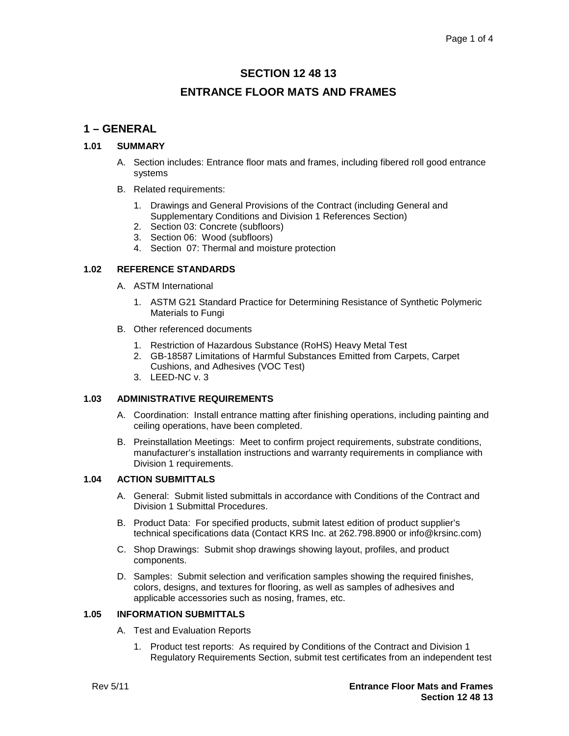# **SECTION 12 48 13 ENTRANCE FLOOR MATS AND FRAMES**

# **1 – GENERAL**

## **1.01 SUMMARY**

- A. Section includes: Entrance floor mats and frames, including fibered roll good entrance systems
- B. Related requirements:
	- 1. Drawings and General Provisions of the Contract (including General and Supplementary Conditions and Division 1 References Section)
	- 2. Section 03: Concrete (subfloors)
	- 3. Section 06: Wood (subfloors)
	- 4. Section 07: Thermal and moisture protection

# **1.02 REFERENCE STANDARDS**

- A. ASTM International
	- 1. ASTM G21 Standard Practice for Determining Resistance of Synthetic Polymeric Materials to Fungi
- B. Other referenced documents
	- 1. Restriction of Hazardous Substance (RoHS) Heavy Metal Test
	- 2. GB-18587 Limitations of Harmful Substances Emitted from Carpets, Carpet Cushions, and Adhesives (VOC Test)
	- 3. LEED-NC v. 3

#### **1.03 ADMINISTRATIVE REQUIREMENTS**

- A. Coordination: Install entrance matting after finishing operations, including painting and ceiling operations, have been completed.
- B. Preinstallation Meetings: Meet to confirm project requirements, substrate conditions, manufacturer's installation instructions and warranty requirements in compliance with Division 1 requirements.

## **1.04 ACTION SUBMITTALS**

- A. General: Submit listed submittals in accordance with Conditions of the Contract and Division 1 Submittal Procedures.
- B. Product Data: For specified products, submit latest edition of product supplier's technical specifications data (Contact KRS Inc. at 262.798.8900 or info@krsinc.com)
- C. Shop Drawings: Submit shop drawings showing layout, profiles, and product components.
- D. Samples: Submit selection and verification samples showing the required finishes, colors, designs, and textures for flooring, as well as samples of adhesives and applicable accessories such as nosing, frames, etc.

# **1.05 INFORMATION SUBMITTALS**

- A. Test and Evaluation Reports
	- 1. Product test reports: As required by Conditions of the Contract and Division 1 Regulatory Requirements Section, submit test certificates from an independent test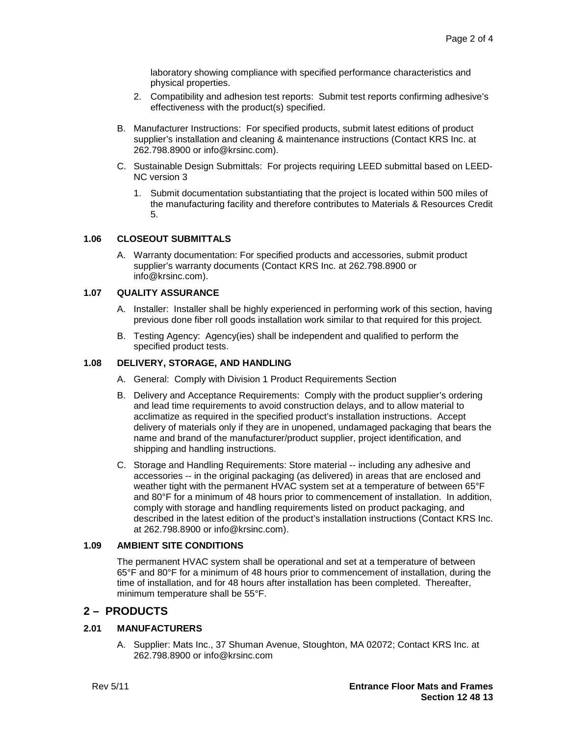laboratory showing compliance with specified performance characteristics and physical properties.

- 2. Compatibility and adhesion test reports: Submit test reports confirming adhesive's effectiveness with the product(s) specified.
- B. Manufacturer Instructions: For specified products, submit latest editions of product supplier's installation and cleaning & maintenance instructions (Contact KRS Inc. at 262.798.8900 or info@krsinc.com).
- C. Sustainable Design Submittals: For projects requiring LEED submittal based on LEED-NC version 3
	- 1. Submit documentation substantiating that the project is located within 500 miles of the manufacturing facility and therefore contributes to Materials & Resources Credit 5.

#### **1.06 CLOSEOUT SUBMITTALS**

A. Warranty documentation: For specified products and accessories, submit product supplier's warranty documents (Contact KRS Inc. at 262.798.8900 or info@krsinc.com).

#### **1.07 QUALITY ASSURANCE**

- A. Installer: Installer shall be highly experienced in performing work of this section, having previous done fiber roll goods installation work similar to that required for this project.
- B. Testing Agency: Agency(ies) shall be independent and qualified to perform the specified product tests.

## **1.08 DELIVERY, STORAGE, AND HANDLING**

- A. General: Comply with Division 1 Product Requirements Section
- B. Delivery and Acceptance Requirements: Comply with the product supplier's ordering and lead time requirements to avoid construction delays, and to allow material to acclimatize as required in the specified product's installation instructions. Accept delivery of materials only if they are in unopened, undamaged packaging that bears the name and brand of the manufacturer/product supplier, project identification, and shipping and handling instructions.
- C. Storage and Handling Requirements: Store material -- including any adhesive and accessories -- in the original packaging (as delivered) in areas that are enclosed and weather tight with the permanent HVAC system set at a temperature of between 65°F and 80°F for a minimum of 48 hours prior to commencement of installation. In addition, comply with storage and handling requirements listed on product packaging, and described in the latest edition of the product's installation instructions (Contact KRS Inc. at 262.798.8900 or info@krsinc.com).

#### **1.09 AMBIENT SITE CONDITIONS**

The permanent HVAC system shall be operational and set at a temperature of between 65°F and 80°F for a minimum of 48 hours prior to commencement of installation, during the time of installation, and for 48 hours after installation has been completed. Thereafter, minimum temperature shall be 55°F.

## **2 – PRODUCTS**

## **2.01 MANUFACTURERS**

A. Supplier: Mats Inc., 37 Shuman Avenue, Stoughton, MA 02072; Contact KRS Inc. at 262.798.8900 or info@krsinc.com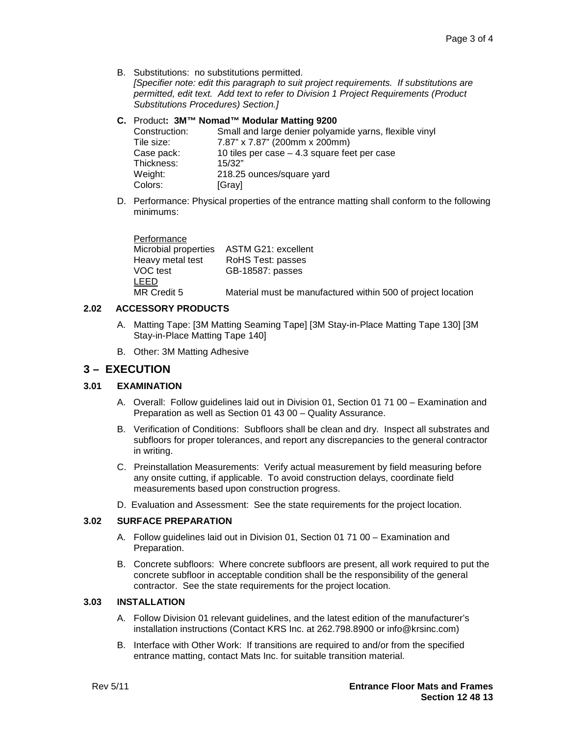B. Substitutions: no substitutions permitted.

*[Specifier note: edit this paragraph to suit project requirements. If substitutions are permitted, edit text. Add text to refer to Division 1 Project Requirements (Product Substitutions Procedures) Section.]*

### **C.** Product**: 3M™ Nomad™ Modular Matting 9200**

| Construction: | Small and large denier polyamide yarns, flexible vinyl |
|---------------|--------------------------------------------------------|
| Tile size:    | 7.87" x 7.87" (200mm x 200mm)                          |
| Case pack:    | 10 tiles per case $-$ 4.3 square feet per case         |
| Thickness:    | 15/32"                                                 |
| Weight:       | 218.25 ounces/square yard                              |
| Colors:       | [Gray]                                                 |

D. Performance: Physical properties of the entrance matting shall conform to the following minimums:

**Performance** Microbial properties ASTM G21: excellent Heavy metal test RoHS Test: passes<br>VOC test GB-18587: passes GB-18587: passes LEED MR Credit 5 Material must be manufactured within 500 of project location

#### **2.02 ACCESSORY PRODUCTS**

- A. Matting Tape: [3M Matting Seaming Tape] [3M Stay-in-Place Matting Tape 130] [3M Stay-in-Place Matting Tape 140]
- B. Other: 3M Matting Adhesive

# **3 – EXECUTION**

#### **3.01 EXAMINATION**

- A. Overall: Follow guidelines laid out in Division 01, Section 01 71 00 Examination and Preparation as well as Section 01 43 00 – Quality Assurance.
- B. Verification of Conditions: Subfloors shall be clean and dry. Inspect all substrates and subfloors for proper tolerances, and report any discrepancies to the general contractor in writing.
- C. Preinstallation Measurements: Verify actual measurement by field measuring before any onsite cutting, if applicable. To avoid construction delays, coordinate field measurements based upon construction progress.
- D. Evaluation and Assessment: See the state requirements for the project location.

## **3.02 SURFACE PREPARATION**

- A. Follow guidelines laid out in Division 01, Section 01 71 00 Examination and Preparation.
- B. Concrete subfloors: Where concrete subfloors are present, all work required to put the concrete subfloor in acceptable condition shall be the responsibility of the general contractor. See the state requirements for the project location.

#### **3.03 INSTALLATION**

- A. Follow Division 01 relevant guidelines, and the latest edition of the manufacturer's installation instructions (Contact KRS Inc. at 262.798.8900 or info@krsinc.com)
- B. Interface with Other Work: If transitions are required to and/or from the specified entrance matting, contact Mats Inc. for suitable transition material.